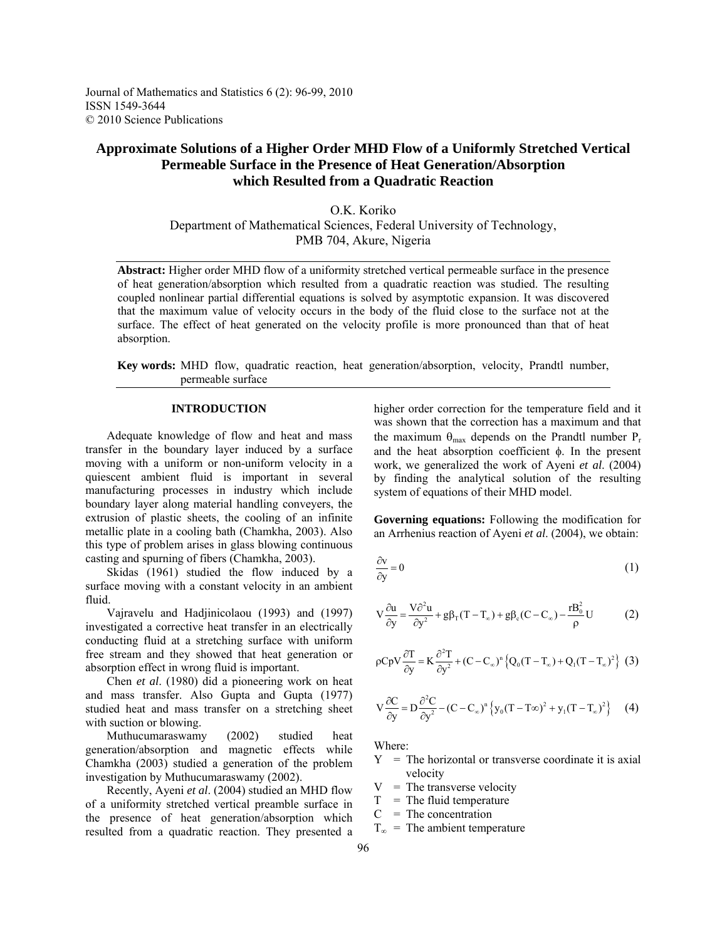Journal of Mathematics and Statistics 6 (2): 96-99, 2010 ISSN 1549-3644 © 2010 Science Publications

# **Approximate Solutions of a Higher Order MHD Flow of a Uniformly Stretched Vertical Permeable Surface in the Presence of Heat Generation/Absorption which Resulted from a Quadratic Reaction**

O.K. Koriko Department of Mathematical Sciences, Federal University of Technology, PMB 704, Akure, Nigeria

**Abstract:** Higher order MHD flow of a uniformity stretched vertical permeable surface in the presence of heat generation/absorption which resulted from a quadratic reaction was studied. The resulting coupled nonlinear partial differential equations is solved by asymptotic expansion. It was discovered that the maximum value of velocity occurs in the body of the fluid close to the surface not at the surface. The effect of heat generated on the velocity profile is more pronounced than that of heat absorption.

**Key words:** MHD flow, quadratic reaction, heat generation/absorption, velocity, Prandtl number, permeable surface

#### **INTRODUCTION**

 Adequate knowledge of flow and heat and mass transfer in the boundary layer induced by a surface moving with a uniform or non-uniform velocity in a quiescent ambient fluid is important in several manufacturing processes in industry which include boundary layer along material handling conveyers, the extrusion of plastic sheets, the cooling of an infinite metallic plate in a cooling bath (Chamkha, 2003). Also this type of problem arises in glass blowing continuous casting and spurning of fibers (Chamkha, 2003).

 Skidas (1961) studied the flow induced by a surface moving with a constant velocity in an ambient fluid.

 Vajravelu and Hadjinicolaou (1993) and (1997) investigated a corrective heat transfer in an electrically conducting fluid at a stretching surface with uniform free stream and they showed that heat generation or absorption effect in wrong fluid is important.

 Chen *et al*. (1980) did a pioneering work on heat and mass transfer. Also Gupta and Gupta (1977) studied heat and mass transfer on a stretching sheet with suction or blowing.

 Muthucumaraswamy (2002) studied heat generation/absorption and magnetic effects while Chamkha (2003) studied a generation of the problem investigation by Muthucumaraswamy (2002).

 Recently, Ayeni *et al*. (2004) studied an MHD flow of a uniformity stretched vertical preamble surface in the presence of heat generation/absorption which resulted from a quadratic reaction. They presented a

higher order correction for the temperature field and it was shown that the correction has a maximum and that the maximum  $\theta_{\text{max}}$  depends on the Prandtl number  $P_r$ and the heat absorption coefficient  $\phi$ . In the present work, we generalized the work of Ayeni *et al*. (2004) by finding the analytical solution of the resulting system of equations of their MHD model.

**Governing equations:** Following the modification for an Arrhenius reaction of Ayeni *et al*. (2004), we obtain:

$$
\frac{\partial v}{\partial y} = 0\tag{1}
$$

$$
V\frac{\partial u}{\partial y} = \frac{V\partial^2 u}{\partial y^2} + g\beta_\text{T}(T - T_\infty) + g\beta_\text{c}(C - C_\infty) - \frac{rB_0^2}{\rho}U\tag{2}
$$

$$
\rho CpV \frac{\partial T}{\partial y} = K \frac{\partial^2 T}{\partial y^2} + (C - C_{\infty})^n \left\{ Q_0 (T - T_{\infty}) + Q_1 (T - T_{\infty})^2 \right\} (3)
$$

$$
V\frac{\partial C}{\partial y} = D\frac{\partial^2 C}{\partial y^2} - (C - C_{\infty})^n \left\{ y_0 (T - T\infty)^2 + y_1 (T - T_{\infty})^2 \right\}
$$
 (4)

Where:

- $Y =$ The horizontal or transverse coordinate it is axial velocity
- $V =$ The transverse velocity
- $T =$ The fluid temperature
- $C = The concentration$
- $T_{\infty}$  = The ambient temperature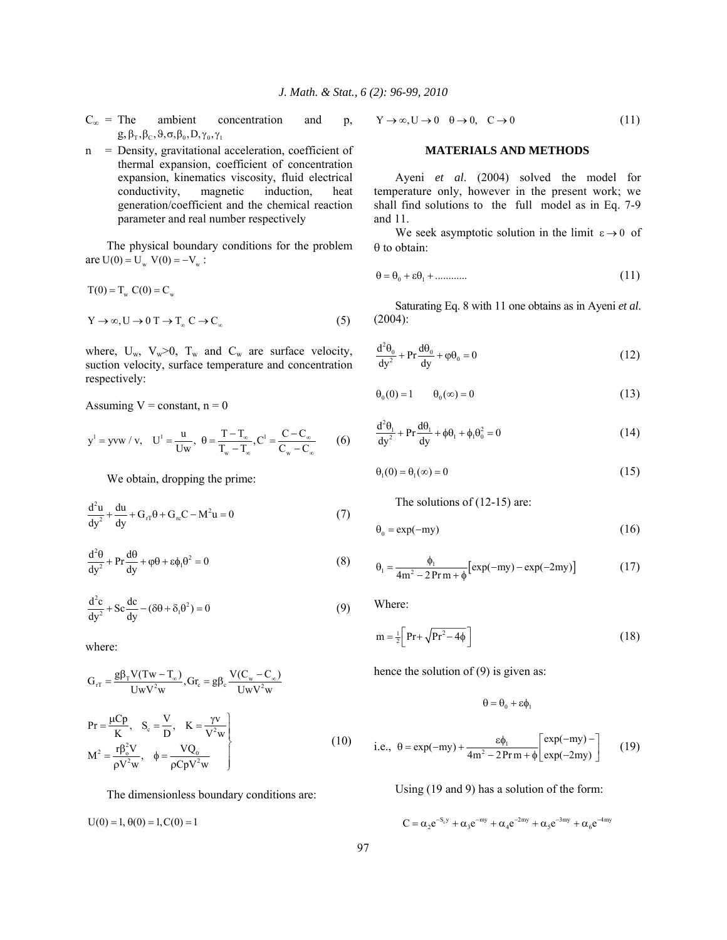- $C_{\infty}$  = The ambient concentration and p,  $g, \beta_{\rm T}, \beta_{\rm C}, \vartheta, \sigma, \beta_0, D, \gamma_0, \gamma_1$
- n = Density, gravitational acceleration, coefficient of thermal expansion, coefficient of concentration expansion, kinematics viscosity, fluid electrical conductivity, magnetic induction, heat generation/coefficient and the chemical reaction parameter and real number respectively

 The physical boundary conditions for the problem are  $U(0) = U_w V(0) = -V_w$ :

$$
T(0) = T_w C(0) = C_w
$$
  
\n
$$
Y \to \infty, U \to 0 \text{ } T \to T_w C \to C_\infty
$$
 (5)

where,  $U_w$ ,  $V_w > 0$ ,  $T_w$  and  $C_w$  are surface velocity, suction velocity, surface temperature and concentration respectively:

Assuming  $V = constant$ ,  $n = 0$ 

$$
y^{1} = yvw / v, \quad U^{1} = \frac{u}{Uw}, \ \theta = \frac{T - T_{\infty}}{T_{w} - T_{\infty}}, C^{1} = \frac{C - C_{\infty}}{C_{w} - C_{\infty}}
$$
 (6)

We obtain, dropping the prime:

$$
\frac{d^2u}{dy^2} + \frac{du}{dy} + G_{rT}\theta + G_{rc}C - M^2u = 0
$$
 (7)

$$
\frac{d^2\theta}{dy^2} + Pr \frac{d\theta}{dy} + \varphi\theta + \varepsilon\phi_1\theta^2 = 0
$$
 (8)

$$
\frac{d^2c}{dy^2} + Sc\frac{dc}{dy} - (\delta\theta + \delta_1\theta^2) = 0
$$
\n(9)

where:

$$
G_{rT} = \frac{g\beta_T V(Tw - T_{\infty})}{UwV^2w}, Gr_c = g\beta_c \frac{V(C_w - C_{\infty})}{UwV^2w}
$$
  
\n
$$
Pr = \frac{\mu Cp}{K}, \quad S_c = \frac{V}{D}, \quad K = \frac{\gamma v}{V^2w}
$$
  
\n
$$
M^2 = \frac{r\beta_o^2 V}{\rho V^2w}, \quad \phi = \frac{VQ_0}{\rho CpV^2w}
$$
 (10)

The dimensionless boundary conditions are:

 $U(0) = 1, \theta(0) = 1, C(0) = 1$ 

$$
Y \to \infty, U \to 0 \quad \theta \to 0, \quad C \to 0 \tag{11}
$$

# **MATERIALS AND METHODS**

 Ayeni *et al*. (2004) solved the model for temperature only, however in the present work; we shall find solutions to the full model as in Eq. 7-9 and 11.

We seek asymptotic solution in the limit  $\varepsilon \to 0$  of  $\theta$  to obtain:

$$
\theta = \theta_0 + \varepsilon \theta_1 + \dots \tag{11}
$$

 Saturating Eq. 8 with 11 one obtains as in Ayeni *et al*. (2004):

$$
\frac{d^2\theta_0}{dy^2} + \Pr \frac{d\theta_0}{dy} + \varphi \theta_0 = 0
$$
\n(12)

$$
\Theta_0(0) = 1 \qquad \Theta_0(\infty) = 0 \tag{13}
$$

$$
\frac{d^2\theta_1}{dy^2} + Pr \frac{d\theta_1}{dy} + \phi\theta_1 + \phi_1\theta_0^2 = 0
$$
\n(14)

 $\theta_1(0) = \theta_1(\infty) = 0$  (15)

The solutions of (12-15) are:

$$
\theta_0 = \exp(-my) \tag{16}
$$

$$
\theta_1 = \frac{\phi_1}{4m^2 - 2Prm + \phi} \left[ exp(-my) - exp(-2my) \right] \tag{17}
$$

Where:

$$
m = \frac{1}{2} \left[ Pr + \sqrt{Pr^2 - 4\phi} \right]
$$
 (18)

hence the solution of (9) is given as:

 $\theta = \theta_0 + \epsilon \phi_1$ 

i.e., 
$$
\theta = \exp(-my) + \frac{\epsilon \phi_1}{4m^2 - 2Prm + \phi} \begin{bmatrix} \exp(-my) - \\ \exp(-2my) \end{bmatrix}
$$
 (19)

Using (19 and 9) has a solution of the form:

$$
C = \alpha_2 e^{-S_c y} + \alpha_3 e^{-my} + \alpha_4 e^{-2my} + \alpha_5 e^{-3my} + \alpha_6 e^{-4my}
$$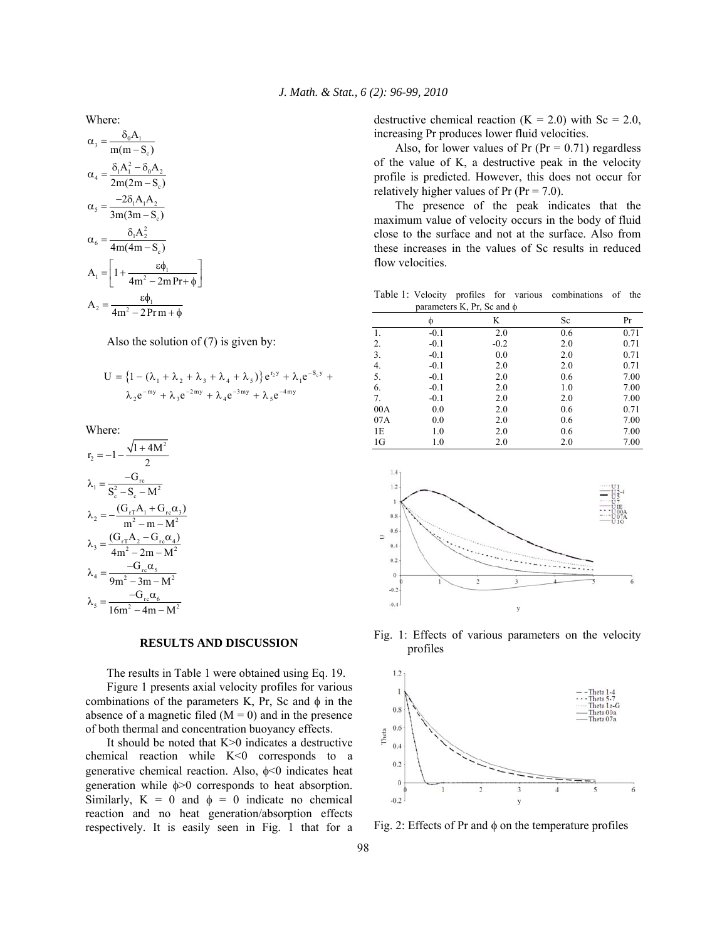Where:

$$
\alpha_3 = \frac{\delta_0 A_1}{m(m - S_c)}
$$
  
\n
$$
\alpha_4 = \frac{\delta_1 A_1^2 - \delta_0 A_2}{2m(2m - S_c)}
$$
  
\n
$$
\alpha_5 = \frac{-2\delta_1 A_1 A_2}{3m(3m - S_c)}
$$
  
\n
$$
\alpha_6 = \frac{\delta_1 A_2^2}{4m(4m - S_c)}
$$
  
\n
$$
A_1 = \left[1 + \frac{\epsilon \phi_1}{4m^2 - 2mPr + \phi}\right]
$$
  
\n
$$
A_2 = \frac{\epsilon \phi_1}{4m^2 - 2Prm + \phi}
$$

Also the solution of (7) is given by:

$$
U = \left\{1 - \left(\lambda_1 + \lambda_2 + \lambda_3 + \lambda_4 + \lambda_5\right)\right\} e^{r_2 y} + \lambda_1 e^{-S_c y} + \lambda_2 e^{-my} + \lambda_3 e^{-2my} + \lambda_4 e^{-3my} + \lambda_5 e^{-4my}
$$

Where:

$$
r_2 = -1 - \frac{\sqrt{1 + 4M^2}}{2}
$$
  
\n
$$
\lambda_1 = \frac{-G_{rc}}{S_c^2 - S_c - M^2}
$$
  
\n
$$
\lambda_2 = -\frac{(G_{rT}A_1 + G_{rc}\alpha_3)}{m^2 - m - M^2}
$$
  
\n
$$
\lambda_3 = \frac{(G_{rT}A_2 - G_{rc}\alpha_4)}{4m^2 - 2m - M^2}
$$
  
\n
$$
\lambda_4 = \frac{-G_{rc}\alpha_5}{9m^2 - 3m - M^2}
$$
  
\n
$$
\lambda_5 = \frac{-G_{rc}\alpha_6}{16m^2 - 4m - M^2}
$$

 $\overline{122}$ 

## **RESULTS AND DISCUSSION**

 The results in Table 1 were obtained using Eq. 19. Figure 1 presents axial velocity profiles for various combinations of the parameters K, Pr, Sc and  $\phi$  in the absence of a magnetic filed  $(M = 0)$  and in the presence of both thermal and concentration buoyancy effects.

 It should be noted that K>0 indicates a destructive chemical reaction while K<0 corresponds to a generative chemical reaction. Also,  $\phi$ <0 indicates heat generation while  $\phi$  > 0 corresponds to heat absorption. Similarly,  $K = 0$  and  $\phi = 0$  indicate no chemical reaction and no heat generation/absorption effects respectively. It is easily seen in Fig. 1 that for a destructive chemical reaction  $(K = 2.0)$  with  $Sc = 2.0$ , increasing Pr produces lower fluid velocities.

Also, for lower values of Pr ( $Pr = 0.71$ ) regardless of the value of K, a destructive peak in the velocity profile is predicted. However, this does not occur for relatively higher values of Pr ( $Pr = 7.0$ ).

 The presence of the peak indicates that the maximum value of velocity occurs in the body of fluid close to the surface and not at the surface. Also from these increases in the values of Sc results in reduced flow velocities.

Table 1: Velocity profiles for various combinations of the parameters K, Pr, Sc and  $\phi$ 

|                |        | ,<br>$\sim$ $\sim$ |     |      |
|----------------|--------|--------------------|-----|------|
|                | Φ      | K                  | Sc  | Pr   |
| 1.             | $-0.1$ | 2.0                | 0.6 | 0.71 |
| 2.             | $-0.1$ | $-0.2$             | 2.0 | 0.71 |
| 3.             | $-0.1$ | 0.0                | 2.0 | 0.71 |
| 4.             | $-0.1$ | 2.0                | 2.0 | 0.71 |
| 5.             | $-0.1$ | 2.0                | 0.6 | 7.00 |
| 6.             | $-0.1$ | 2.0                | 1.0 | 7.00 |
| 7.             | $-0.1$ | 2.0                | 2.0 | 7.00 |
| 00A            | 0.0    | 2.0                | 0.6 | 0.71 |
| 07A            | 0.0    | 2.0                | 0.6 | 7.00 |
| 1E             | 1.0    | 2.0                | 0.6 | 7.00 |
| 1 <sub>G</sub> | 1.0    | 2.0                | 2.0 | 7.00 |



Fig. 1: Effects of various parameters on the velocity profiles



Fig. 2: Effects of Pr and  $\phi$  on the temperature profiles